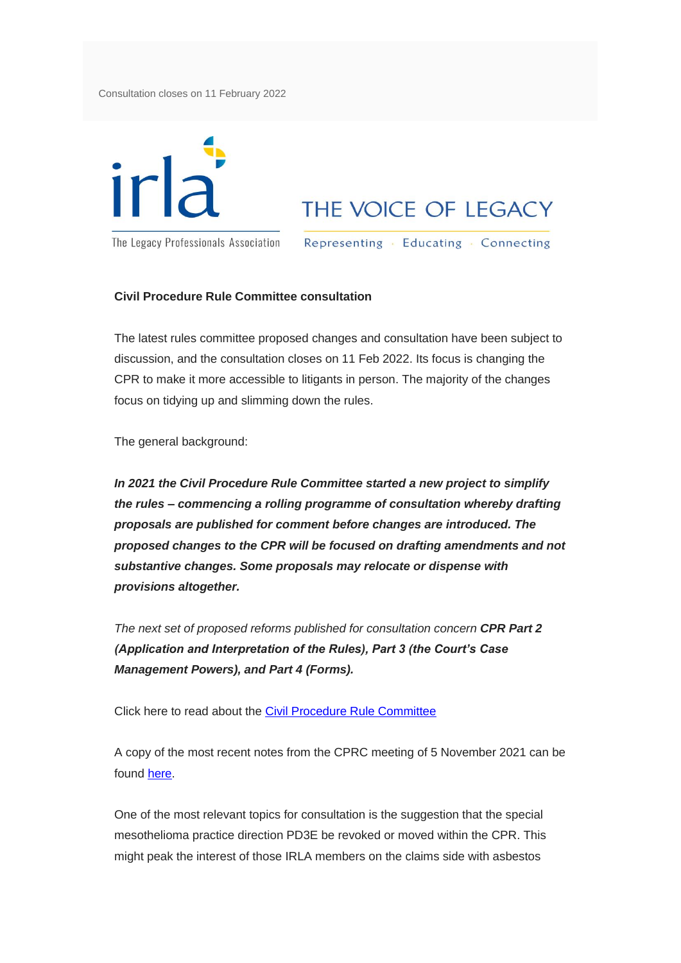Consultation closes on 11 February 2022



## THE VOICE OF LEGACY

The Legacy Professionals Association

Representing · Educating · Connecting

## **Civil Procedure Rule Committee consultation**

The latest rules committee proposed changes and consultation have been subject to discussion, and the consultation closes on 11 Feb 2022. Its focus is changing the CPR to make it more accessible to litigants in person. The majority of the changes focus on tidying up and slimming down the rules.

The general background:

*In 2021 the Civil Procedure Rule Committee started a new project to simplify the rules – commencing a rolling programme of consultation whereby drafting proposals are published for comment before changes are introduced. The proposed changes to the CPR will be focused on drafting amendments and not substantive changes. Some proposals may relocate or dispense with provisions altogether.*

*The next set of proposed reforms published for consultation concern CPR Part 2 (Application and Interpretation of the Rules), Part 3 (the Court's Case Management Powers), and Part 4 (Forms).*

Click here to read about the [Civil Procedure Rule Committee](https://eur02.safelinks.protection.outlook.com/?url=https%3A%2F%2Firla-international.us8.list-manage.com%2Ftrack%2Fclick%3Fu%3D2310a859fcabdfc7432f407a3%26id%3D9a15f62c16%26e%3D3fe7e751fa&data=04%7C01%7Cdawn%40amsoutsourcing.co.uk%7C121918e67b814af77c4d08d9e71819eb%7Ce96bdf0545bc4f56a84e8c082dde3e74%7C1%7C0%7C637794912962422090%7CUnknown%7CTWFpbGZsb3d8eyJWIjoiMC4wLjAwMDAiLCJQIjoiV2luMzIiLCJBTiI6Ik1haWwiLCJXVCI6Mn0%3D%7C3000&sdata=65TcghTnCxz4N49ISDjQSUptqNFF3ykZvojTjjGvtTU%3D&reserved=0)

A copy of the most recent notes from the CPRC meeting of 5 November 2021 can be found [here.](https://eur02.safelinks.protection.outlook.com/?url=https%3A%2F%2Firla-international.us8.list-manage.com%2Ftrack%2Fclick%3Fu%3D2310a859fcabdfc7432f407a3%26id%3D0afa48bc15%26e%3D3fe7e751fa&data=04%7C01%7Cdawn%40amsoutsourcing.co.uk%7C121918e67b814af77c4d08d9e71819eb%7Ce96bdf0545bc4f56a84e8c082dde3e74%7C1%7C0%7C637794912962422090%7CUnknown%7CTWFpbGZsb3d8eyJWIjoiMC4wLjAwMDAiLCJQIjoiV2luMzIiLCJBTiI6Ik1haWwiLCJXVCI6Mn0%3D%7C3000&sdata=Lw9hACjq6LlnG522CyJ%2BVY8Uhvl7xwgTPE4A8n9ruY4%3D&reserved=0)

One of the most relevant topics for consultation is the suggestion that the special mesothelioma practice direction PD3E be revoked or moved within the CPR. This might peak the interest of those IRLA members on the claims side with asbestos